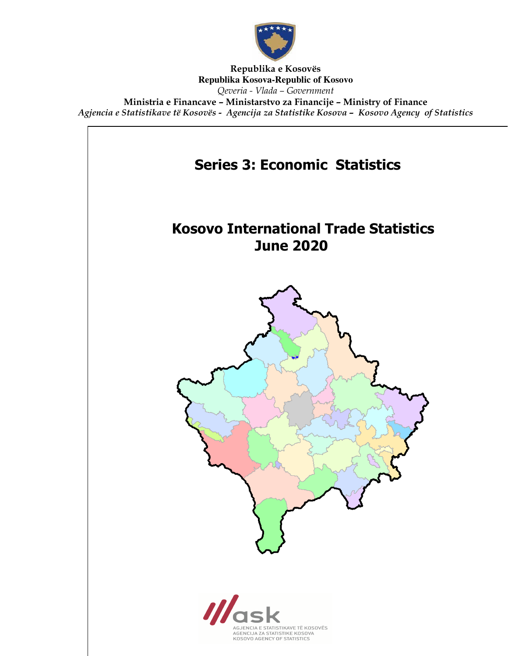

Republika e Kosovës **Republika Kosova-Republic of Kosovo** Qeveria - Vlada – Government Ministria e Financave – Ministarstvo za Financije – Ministry of Finance Agjencia e Statistikave të Kosovës - Agencija za Statistike Kosova – Kosovo Agency of Statistics

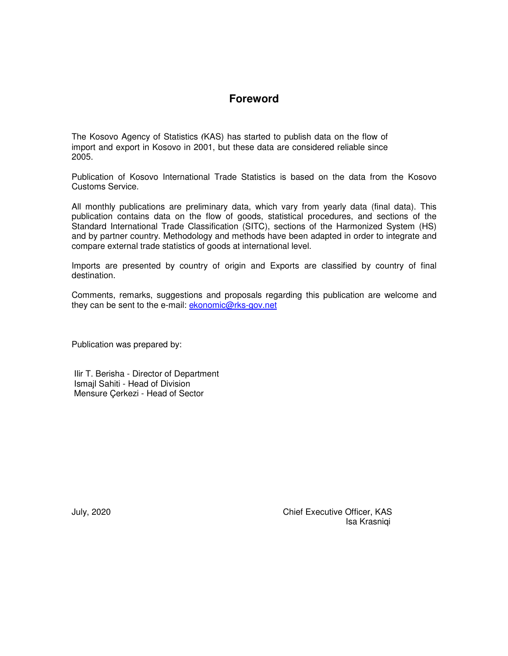# **Foreword**

The Kosovo Agency of Statistics (KAS) has started to publish data on the flow of import and export in Kosovo in 2001, but these data are considered reliable since 2005.

Publication of Kosovo International Trade Statistics is based on the data from the Kosovo Customs Service.

All monthly publications are preliminary data, which vary from yearly data (final data). This publication contains data on the flow of goods, statistical procedures, and sections of the Standard International Trade Classification (SITC), sections of the Harmonized System (HS) and by partner country. Methodology and methods have been adapted in order to integrate and compare external trade statistics of goods at international level.

Imports are presented by country of origin and Exports are classified by country of final destination.

Comments, remarks, suggestions and proposals regarding this publication are welcome and they can be sent to the e-mail: **ekonomic@rks-gov.net** 

Publication was prepared by:

 Ilir T. Berisha - Director of Department Ismajl Sahiti - Head of Division Mensure Çerkezi - Head of Sector

July, 2020 Chief Executive Officer, KAS Isa Krasniqi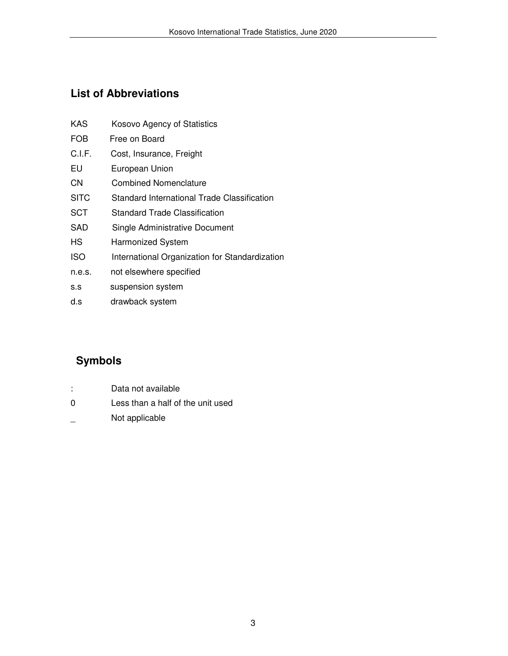# **List of Abbreviations**

| KAS         | Kosovo Agency of Statistics                    |
|-------------|------------------------------------------------|
| <b>FOB</b>  | Free on Board                                  |
| C.I.F.      | Cost, Insurance, Freight                       |
| EU          | European Union                                 |
| CΝ          | Combined Nomenclature                          |
| <b>SITC</b> | Standard International Trade Classification    |
| SCT         | <b>Standard Trade Classification</b>           |
| SAD         | Single Administrative Document                 |
| <b>HS</b>   | <b>Harmonized System</b>                       |
| <b>ISO</b>  | International Organization for Standardization |
| n.e.s.      | not elsewhere specified                        |
|             |                                                |

- s.s suspension system
- d.s drawback system

# **Symbols**

- : Data not available
- 0 Less than a half of the unit used
- \_ Not applicable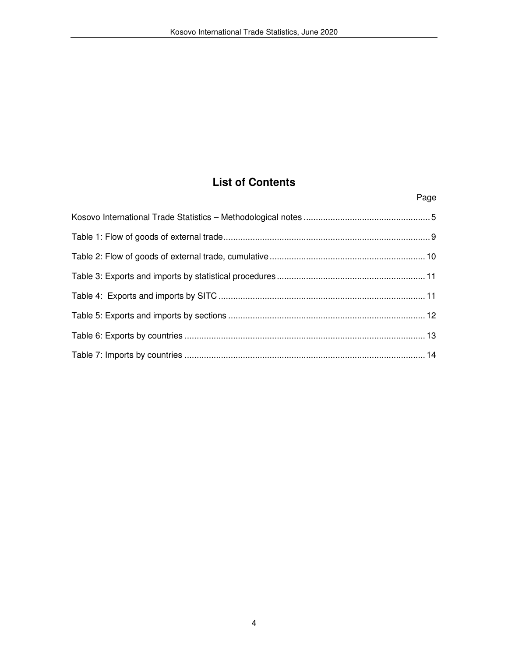# **List of Contents**

Page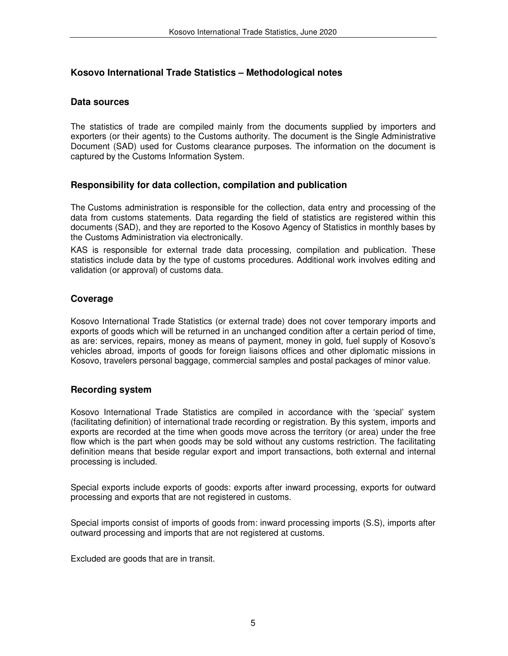### **Kosovo International Trade Statistics – Methodological notes**

#### **Data sources**

The statistics of trade are compiled mainly from the documents supplied by importers and exporters (or their agents) to the Customs authority. The document is the Single Administrative Document (SAD) used for Customs clearance purposes. The information on the document is captured by the Customs Information System.

#### **Responsibility for data collection, compilation and publication**

The Customs administration is responsible for the collection, data entry and processing of the data from customs statements. Data regarding the field of statistics are registered within this documents (SAD), and they are reported to the Kosovo Agency of Statistics in monthly bases by the Customs Administration via electronically.

KAS is responsible for external trade data processing, compilation and publication. These statistics include data by the type of customs procedures. Additional work involves editing and validation (or approval) of customs data.

### **Coverage**

Kosovo International Trade Statistics (or external trade) does not cover temporary imports and exports of goods which will be returned in an unchanged condition after a certain period of time, as are: services, repairs, money as means of payment, money in gold, fuel supply of Kosovo's vehicles abroad, imports of goods for foreign liaisons offices and other diplomatic missions in Kosovo, travelers personal baggage, commercial samples and postal packages of minor value.

### **Recording system**

Kosovo International Trade Statistics are compiled in accordance with the 'special' system (facilitating definition) of international trade recording or registration. By this system, imports and exports are recorded at the time when goods move across the territory (or area) under the free flow which is the part when goods may be sold without any customs restriction. The facilitating definition means that beside regular export and import transactions, both external and internal processing is included.

Special exports include exports of goods: exports after inward processing, exports for outward processing and exports that are not registered in customs.

Special imports consist of imports of goods from: inward processing imports (S.S), imports after outward processing and imports that are not registered at customs.

Excluded are goods that are in transit.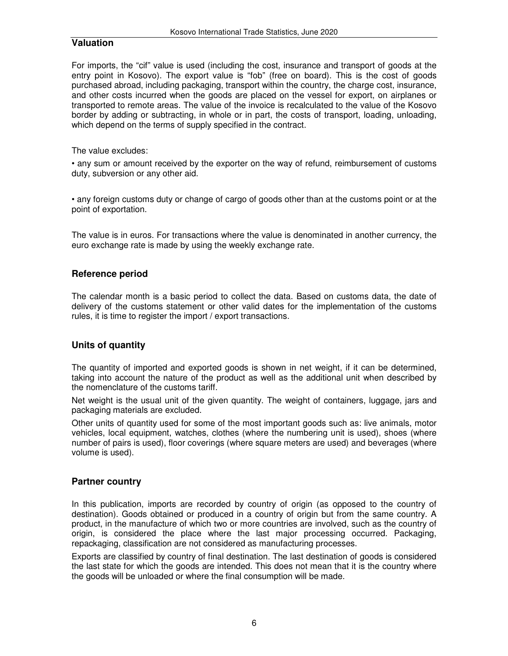### **Valuation**

For imports, the "cif" value is used (including the cost, insurance and transport of goods at the entry point in Kosovo). The export value is "fob" (free on board). This is the cost of goods purchased abroad, including packaging, transport within the country, the charge cost, insurance, and other costs incurred when the goods are placed on the vessel for export, on airplanes or transported to remote areas. The value of the invoice is recalculated to the value of the Kosovo border by adding or subtracting, in whole or in part, the costs of transport, loading, unloading, which depend on the terms of supply specified in the contract.

The value excludes:

• any sum or amount received by the exporter on the way of refund, reimbursement of customs duty, subversion or any other aid.

• any foreign customs duty or change of cargo of goods other than at the customs point or at the point of exportation.

The value is in euros. For transactions where the value is denominated in another currency, the euro exchange rate is made by using the weekly exchange rate.

## **Reference period**

The calendar month is a basic period to collect the data. Based on customs data, the date of delivery of the customs statement or other valid dates for the implementation of the customs rules, it is time to register the import / export transactions.

### **Units of quantity**

The quantity of imported and exported goods is shown in net weight, if it can be determined, taking into account the nature of the product as well as the additional unit when described by the nomenclature of the customs tariff.

Net weight is the usual unit of the given quantity. The weight of containers, luggage, jars and packaging materials are excluded.

Other units of quantity used for some of the most important goods such as: live animals, motor vehicles, local equipment, watches, clothes (where the numbering unit is used), shoes (where number of pairs is used), floor coverings (where square meters are used) and beverages (where volume is used).

### **Partner country**

In this publication, imports are recorded by country of origin (as opposed to the country of destination). Goods obtained or produced in a country of origin but from the same country. A product, in the manufacture of which two or more countries are involved, such as the country of origin, is considered the place where the last major processing occurred. Packaging, repackaging, classification are not considered as manufacturing processes.

Exports are classified by country of final destination. The last destination of goods is considered the last state for which the goods are intended. This does not mean that it is the country where the goods will be unloaded or where the final consumption will be made.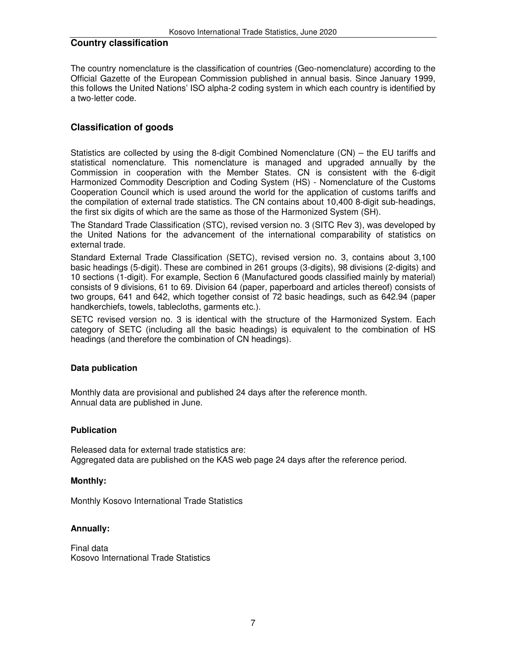#### **Country classification**

The country nomenclature is the classification of countries (Geo-nomenclature) according to the Official Gazette of the European Commission published in annual basis. Since January 1999, this follows the United Nations' ISO alpha-2 coding system in which each country is identified by a two-letter code.

### **Classification of goods**

Statistics are collected by using the 8-digit Combined Nomenclature (CN) – the EU tariffs and statistical nomenclature. This nomenclature is managed and upgraded annually by the Commission in cooperation with the Member States. CN is consistent with the 6-digit Harmonized Commodity Description and Coding System (HS) - Nomenclature of the Customs Cooperation Council which is used around the world for the application of customs tariffs and the compilation of external trade statistics. The CN contains about 10,400 8-digit sub-headings, the first six digits of which are the same as those of the Harmonized System (SH).

The Standard Trade Classification (STC), revised version no. 3 (SITC Rev 3), was developed by the United Nations for the advancement of the international comparability of statistics on external trade.

Standard External Trade Classification (SETC), revised version no. 3, contains about 3,100 basic headings (5-digit). These are combined in 261 groups (3-digits), 98 divisions (2-digits) and 10 sections (1-digit). For example, Section 6 (Manufactured goods classified mainly by material) consists of 9 divisions, 61 to 69. Division 64 (paper, paperboard and articles thereof) consists of two groups, 641 and 642, which together consist of 72 basic headings, such as 642.94 (paper handkerchiefs, towels, tablecloths, garments etc.).

SETC revised version no. 3 is identical with the structure of the Harmonized System. Each category of SETC (including all the basic headings) is equivalent to the combination of HS headings (and therefore the combination of CN headings).

#### **Data publication**

Monthly data are provisional and published 24 days after the reference month. Annual data are published in June.

#### **Publication**

Released data for external trade statistics are: Aggregated data are published on the KAS web page 24 days after the reference period.

#### **Monthly:**

Monthly Kosovo International Trade Statistics

#### **Annually:**

Final data Kosovo International Trade Statistics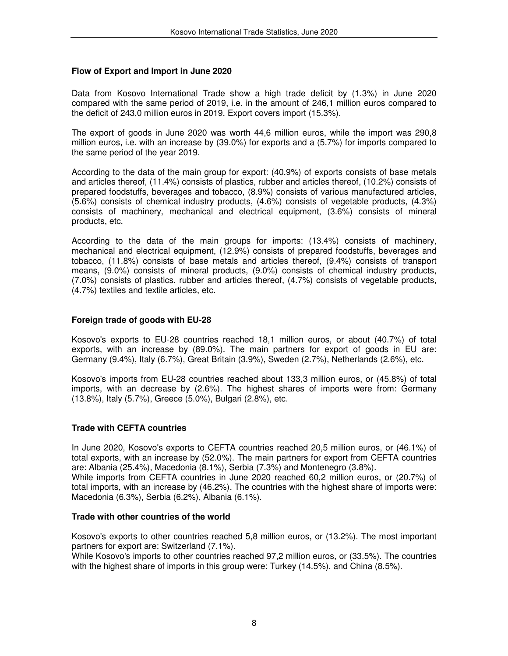#### **Flow of Export and Import in June 2020**

Data from Kosovo International Trade show a high trade deficit by (1.3%) in June 2020 compared with the same period of 2019, i.e. in the amount of 246,1 million euros compared to the deficit of 243,0 million euros in 2019. Export covers import (15.3%).

The export of goods in June 2020 was worth 44,6 million euros, while the import was 290,8 million euros, i.e. with an increase by (39.0%) for exports and a (5.7%) for imports compared to the same period of the year 2019.

According to the data of the main group for export: (40.9%) of exports consists of base metals and articles thereof, (11.4%) consists of plastics, rubber and articles thereof, (10.2%) consists of prepared foodstuffs, beverages and tobacco, (8.9%) consists of various manufactured articles, (5.6%) consists of chemical industry products, (4.6%) consists of vegetable products, (4.3%) consists of machinery, mechanical and electrical equipment, (3.6%) consists of mineral products, etc.

According to the data of the main groups for imports: (13.4%) consists of machinery, mechanical and electrical equipment, (12.9%) consists of prepared foodstuffs, beverages and tobacco, (11.8%) consists of base metals and articles thereof, (9.4%) consists of transport means, (9.0%) consists of mineral products, (9.0%) consists of chemical industry products, (7.0%) consists of plastics, rubber and articles thereof, (4.7%) consists of vegetable products, (4.7%) textiles and textile articles, etc.

#### **Foreign trade of goods with EU-28**

Kosovo's exports to EU-28 countries reached 18,1 million euros, or about (40.7%) of total exports, with an increase by (89.0%). The main partners for export of goods in EU are: Germany (9.4%), Italy (6.7%), Great Britain (3.9%), Sweden (2.7%), Netherlands (2.6%), etc.

Kosovo's imports from EU-28 countries reached about 133,3 million euros, or (45.8%) of total imports, with an decrease by (2.6%). The highest shares of imports were from: Germany (13.8%), Italy (5.7%), Greece (5.0%), Bulgari (2.8%), etc.

#### **Trade with CEFTA countries**

In June 2020, Kosovo's exports to CEFTA countries reached 20,5 million euros, or (46.1%) of total exports, with an increase by (52.0%). The main partners for export from CEFTA countries are: Albania (25.4%), Macedonia (8.1%), Serbia (7.3%) and Montenegro (3.8%). While imports from CEFTA countries in June 2020 reached 60,2 million euros, or (20.7%) of total imports, with an increase by (46.2%). The countries with the highest share of imports were: Macedonia (6.3%), Serbia (6.2%), Albania (6.1%).

#### **Trade with other countries of the world**

Kosovo's exports to other countries reached 5,8 million euros, or (13.2%). The most important partners for export are: Switzerland (7.1%).

While Kosovo's imports to other countries reached 97,2 million euros, or (33.5%). The countries with the highest share of imports in this group were: Turkey (14.5%), and China (8.5%).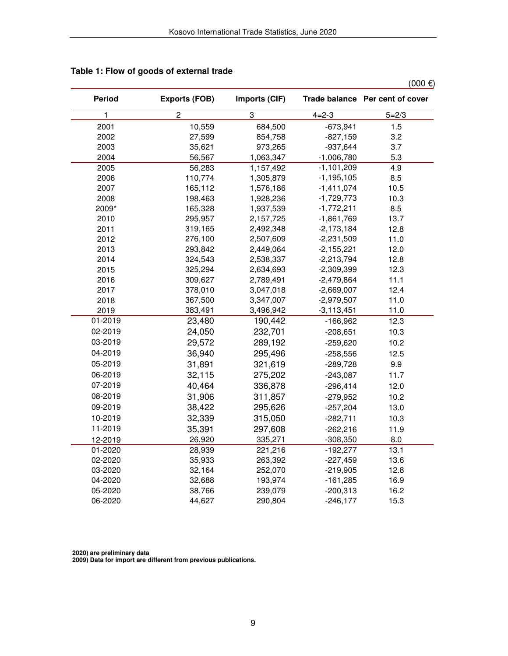$(000 \in)$ 

| <b>Period</b>          | <b>Exports (FOB)</b> | Imports (CIF) |                | Trade balance Per cent of cover |
|------------------------|----------------------|---------------|----------------|---------------------------------|
| $\mathbf{1}$           | $\overline{c}$       | 3             | $4 = 2 - 3$    | $5 = 2/3$                       |
| 2001                   | 10,559               | 684,500       | $-673,941$     | 1.5                             |
| 2002                   | 27,599               | 854,758       | $-827,159$     | 3.2                             |
| 2003                   | 35,621               | 973,265       | $-937,644$     | 3.7                             |
| 2004                   | 56,567               | 1,063,347     | $-1,006,780$   | 5.3                             |
| 2005                   | 56,283               | 1,157,492     | $-1,101,209$   | 4.9                             |
| 2006                   | 110,774              | 1,305,879     | $-1, 195, 105$ | 8.5                             |
| 2007                   | 165,112              | 1,576,186     | $-1,411,074$   | 10.5                            |
| 2008                   | 198,463              | 1,928,236     | $-1,729,773$   | 10.3                            |
| 2009*                  | 165,328              | 1,937,539     | $-1,772,211$   | 8.5                             |
| 2010                   | 295,957              | 2,157,725     | $-1,861,769$   | 13.7                            |
| 2011                   | 319,165              | 2,492,348     | $-2,173,184$   | 12.8                            |
| 2012                   | 276,100              | 2,507,609     | $-2,231,509$   | 11.0                            |
| 2013                   | 293,842              | 2,449,064     | $-2,155,221$   | 12.0                            |
| 2014                   | 324,543              | 2,538,337     | $-2,213,794$   | 12.8                            |
| 2015                   | 325,294              | 2,634,693     | $-2,309,399$   | 12.3                            |
| 2016                   | 309,627              | 2,789,491     | $-2,479,864$   | 11.1                            |
| 2017                   | 378,010              | 3,047,018     | $-2,669,007$   | 12.4                            |
| 2018                   | 367,500              | 3,347,007     | $-2,979,507$   | 11.0                            |
| 2019                   | 383,491              | 3,496,942     | $-3,113,451$   | 11.0                            |
| $\overline{01} - 2019$ | 23,480               | 190,442       | $-166,962$     | 12.3                            |
| 02-2019                | 24,050               | 232,701       | $-208,651$     | 10.3                            |
| 03-2019                | 29,572               | 289,192       | $-259,620$     | 10.2                            |
| 04-2019                | 36,940               | 295,496       | $-258,556$     | 12.5                            |
| 05-2019                | 31,891               | 321,619       | $-289,728$     | 9.9                             |
| 06-2019                | 32,115               | 275,202       | $-243,087$     | 11.7                            |
| 07-2019                | 40,464               | 336,878       | $-296,414$     | 12.0                            |
| 08-2019                | 31,906               | 311,857       | $-279,952$     | 10.2                            |
| 09-2019                | 38,422               | 295,626       | $-257,204$     | 13.0                            |
| 10-2019                | 32,339               | 315,050       | $-282,711$     | 10.3                            |
| 11-2019                | 35,391               | 297,608       | $-262,216$     | 11.9                            |
| 12-2019                | 26,920               | 335,271       | $-308,350$     | 8.0                             |
| $01 - 2020$            | 28,939               | 221,216       | $-192,277$     | 13.1                            |
| 02-2020                | 35,933               | 263,392       | $-227,459$     | 13.6                            |
| 03-2020                | 32,164               | 252,070       | $-219,905$     | 12.8                            |
| 04-2020                | 32,688               | 193,974       | $-161,285$     | 16.9                            |
| 05-2020                | 38,766               | 239,079       | $-200,313$     | 16.2                            |
| 06-2020                | 44,627               | 290,804       | $-246,177$     | 15.3                            |

## **Table 1: Flow of goods of external trade**

 **2020) are preliminary data** 

 **2009) Data for import are different from previous publications.**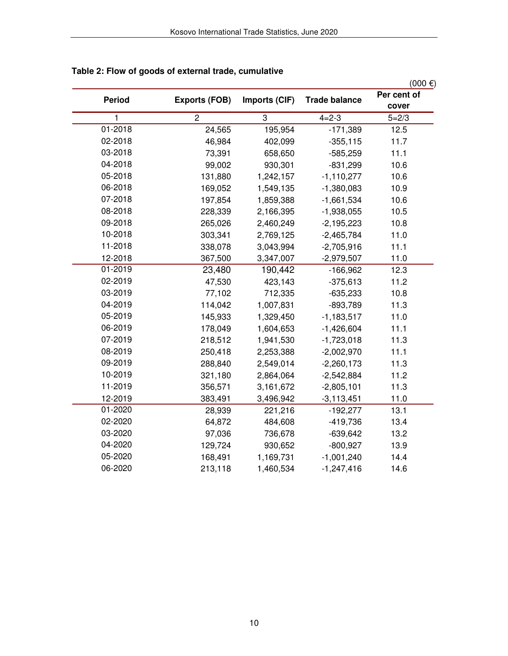|               |                      |               |                      | $(000)$ €)           |
|---------------|----------------------|---------------|----------------------|----------------------|
| <b>Period</b> | <b>Exports (FOB)</b> | Imports (CIF) | <b>Trade balance</b> | Per cent of<br>cover |
| $\mathbf{1}$  | $\overline{2}$       | 3             | $4 = 2 - 3$          | $5 = 2/3$            |
| 01-2018       | 24,565               | 195,954       | $-171,389$           | 12.5                 |
| 02-2018       | 46,984               | 402,099       | $-355,115$           | 11.7                 |
| 03-2018       | 73,391               | 658,650       | $-585,259$           | 11.1                 |
| 04-2018       | 99,002               | 930,301       | $-831,299$           | 10.6                 |
| 05-2018       | 131,880              | 1,242,157     | $-1,110,277$         | 10.6                 |
| 06-2018       | 169,052              | 1,549,135     | $-1,380,083$         | 10.9                 |
| 07-2018       | 197,854              | 1,859,388     | $-1,661,534$         | 10.6                 |
| 08-2018       | 228,339              | 2,166,395     | $-1,938,055$         | 10.5                 |
| 09-2018       | 265,026              | 2,460,249     | $-2,195,223$         | 10.8                 |
| 10-2018       | 303,341              | 2,769,125     | $-2,465,784$         | 11.0                 |
| 11-2018       | 338,078              | 3,043,994     | $-2,705,916$         | 11.1                 |
| 12-2018       | 367,500              | 3,347,007     | $-2,979,507$         | 11.0                 |
| 01-2019       | 23,480               | 190,442       | $-166,962$           | 12.3                 |
| 02-2019       | 47,530               | 423,143       | $-375,613$           | 11.2                 |
| 03-2019       | 77,102               | 712,335       | $-635,233$           | 10.8                 |
| 04-2019       | 114,042              | 1,007,831     | $-893,789$           | 11.3                 |
| 05-2019       | 145,933              | 1,329,450     | $-1,183,517$         | 11.0                 |
| 06-2019       | 178,049              | 1,604,653     | $-1,426,604$         | 11.1                 |
| 07-2019       | 218,512              | 1,941,530     | $-1,723,018$         | 11.3                 |
| 08-2019       | 250,418              | 2,253,388     | $-2,002,970$         | 11.1                 |
| 09-2019       | 288,840              | 2,549,014     | $-2,260,173$         | 11.3                 |
| 10-2019       | 321,180              | 2,864,064     | $-2,542,884$         | 11.2                 |
| 11-2019       | 356,571              | 3,161,672     | $-2,805,101$         | 11.3                 |
| 12-2019       | 383,491              | 3,496,942     | $-3,113,451$         | 11.0                 |
| 01-2020       | 28,939               | 221,216       | $-192,277$           | 13.1                 |
| 02-2020       | 64,872               | 484,608       | $-419,736$           | 13.4                 |
| 03-2020       | 97,036               | 736,678       | $-639,642$           | 13.2                 |
| 04-2020       | 129,724              | 930,652       | $-800,927$           | 13.9                 |
| 05-2020       | 168,491              | 1,169,731     | $-1,001,240$         | 14.4                 |
| 06-2020       | 213,118              | 1,460,534     | $-1,247,416$         | 14.6                 |

# **Table 2: Flow of goods of external trade, cumulative**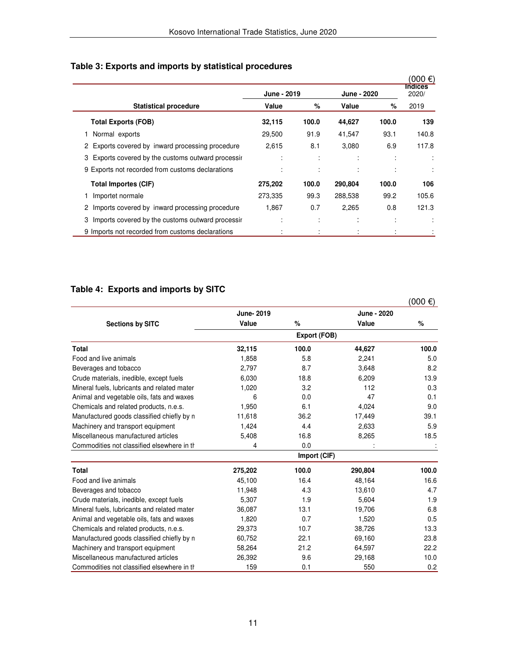|                                                       |                      |       |                      |                     | $(000 \in )$<br><b>Indices</b> |
|-------------------------------------------------------|----------------------|-------|----------------------|---------------------|--------------------------------|
|                                                       | June - 2019<br>Value |       | June - 2020<br>Value |                     | 2020/                          |
| <b>Statistical procedure</b>                          |                      | %     |                      | %                   | 2019                           |
| <b>Total Exports (FOB)</b>                            | 32,115               | 100.0 | 44,627               | 100.0               | 139                            |
| Normal exports                                        | 29,500               | 91.9  | 41,547               | 93.1                | 140.8                          |
| 2 Exports covered by inward processing procedure      | 2,615                | 8.1   | 3,080                | 6.9                 | 117.8                          |
| 3 Exports covered by the customs outward processir    | ٠                    | ÷     | ٠                    | ٠<br>$\blacksquare$ | ÷                              |
| 9 Exports not recorded from customs declarations      |                      |       |                      | ÷                   |                                |
| <b>Total Importes (CIF)</b>                           | 275,202              | 100.0 | 290,804              | 100.0               | 106                            |
| Importet normale                                      | 273,335              | 99.3  | 288,538              | 99.2                | 105.6                          |
| Imports covered by inward processing procedure        | 1,867                | 0.7   | 2,265                | 0.8                 | 121.3                          |
| Imports covered by the customs outward processir<br>3 | $\cdot$              | ÷     | ٠<br>$\cdot$         | ٠<br>$\cdot$        | ÷                              |
| 9 Imports not recorded from customs declarations      |                      |       |                      |                     |                                |

# **Table 3: Exports and imports by statistical procedures**

# **Table 4: Exports and imports by SITC**

|                                             |            |              |             | $(000 \in )$ |
|---------------------------------------------|------------|--------------|-------------|--------------|
|                                             | June- 2019 |              | June - 2020 |              |
| <b>Sections by SITC</b>                     | Value      | %            | Value       | %            |
|                                             |            | Export (FOB) |             |              |
| Total                                       | 32,115     | 100.0        | 44,627      | 100.0        |
| Food and live animals                       | 1,858      | 5.8          | 2,241       | 5.0          |
| Beverages and tobacco                       | 2,797      | 8.7          | 3,648       | 8.2          |
| Crude materials, inedible, except fuels     | 6,030      | 18.8         | 6,209       | 13.9         |
| Mineral fuels, lubricants and related mater | 1,020      | 3.2          | 112         | 0.3          |
| Animal and vegetable oils, fats and waxes   | 6          | 0.0          | 47          | 0.1          |
| Chemicals and related products, n.e.s.      | 1,950      | 6.1          | 4,024       | 9.0          |
| Manufactured goods classified chiefly by n  | 11,618     | 36.2         | 17,449      | 39.1         |
| Machinery and transport equipment           | 1,424      | 4.4          | 2,633       | 5.9          |
| Miscellaneous manufactured articles         | 5,408      | 16.8         | 8,265       | 18.5         |
| Commodities not classified elsewhere in th  | 4          | 0.0          |             |              |
|                                             |            | Import (CIF) |             |              |
| <b>Total</b>                                | 275,202    | 100.0        | 290,804     | 100.0        |
| Food and live animals                       | 45,100     | 16.4         | 48,164      | 16.6         |
| Beverages and tobacco                       | 11,948     | 4.3          | 13,610      | 4.7          |
| Crude materials, inedible, except fuels     | 5,307      | 1.9          | 5,604       | 1.9          |
| Mineral fuels, lubricants and related mater | 36,087     | 13.1         | 19,706      | 6.8          |
| Animal and vegetable oils, fats and waxes   | 1,820      | 0.7          | 1,520       | 0.5          |
| Chemicals and related products, n.e.s.      | 29,373     | 10.7         | 38,726      | 13.3         |
| Manufactured goods classified chiefly by n  | 60,752     | 22.1         | 69,160      | 23.8         |
| Machinery and transport equipment           | 58,264     | 21.2         | 64,597      | 22.2         |
| Miscellaneous manufactured articles         | 26,392     | 9.6          | 29,168      | 10.0         |
| Commodities not classified elsewhere in the | 159        | 0.1          | 550         | 0.2          |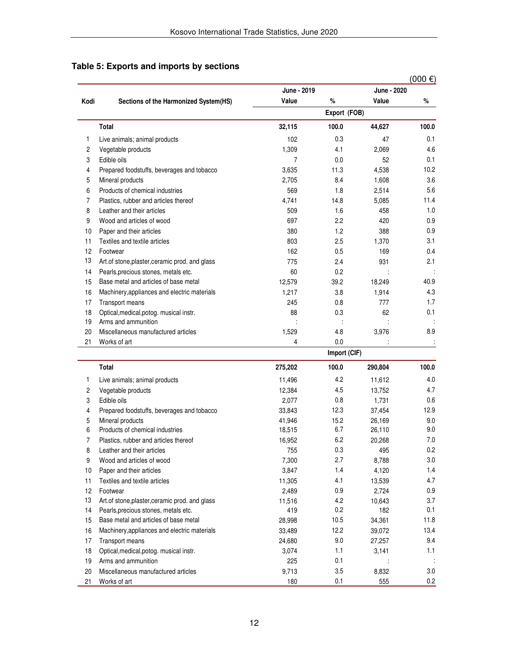|                |                                                                |             |              |             | $(000)$ €) |
|----------------|----------------------------------------------------------------|-------------|--------------|-------------|------------|
|                |                                                                | June - 2019 |              | June - 2020 |            |
| Kodi           | Sections of the Harmonized System(HS)                          | Value       | %            | Value       | %          |
|                |                                                                |             | Export (FOB) |             |            |
|                | Total                                                          | 32,115      | 100.0        | 44,627      | 100.0      |
| 1              | Live animals; animal products                                  | 102         | 0.3          | 47          | 0.1        |
| $\overline{c}$ | Vegetable products                                             | 1,309       | 4.1          | 2,069       | 4.6        |
| 3              | Edible oils                                                    | 7           | 0.0          | 52          | 0.1        |
| 4              |                                                                | 3,635       | 11.3         | 4,538       | 10.2       |
| 5              | Prepared foodstuffs, beverages and tobacco<br>Mineral products | 2,705       | 8.4          | 1,608       | 3.6        |
| 6              | Products of chemical industries                                | 569         | 1.8          | 2,514       | 5.6        |
| 7              |                                                                |             | 14.8         |             | 11.4       |
|                | Plastics, rubber and articles thereof                          | 4,741       |              | 5,085       | 1.0        |
| 8              | Leather and their articles                                     | 509         | 1.6          | 458         |            |
| 9              | Wood and articles of wood                                      | 697         | 2.2          | 420         | 0.9        |
| 10             | Paper and their articles                                       | 380         | 1.2          | 388         | 0.9        |
| 11             | Textiles and textile articles                                  | 803         | 2.5          | 1,370       | 3.1        |
| 12             | Footwear                                                       | 162         | 0.5          | 169         | 0.4        |
| 13             | Art.of stone, plaster, ceramic prod. and glass                 | 775         | 2.4          | 931         | 2.1        |
| 14             | Pearls, precious stones, metals etc.                           | 60          | 0.2          |             |            |
| 15             | Base metal and articles of base metal                          | 12,579      | 39.2         | 18,249      | 40.9       |
| 16             | Machinery, appliances and electric materials                   | 1,217       | 3.8          | 1,914       | 4.3        |
| 17             | Transport means                                                | 245         | 0.8          | 777         | 1.7        |
| 18             | Optical, medical, potog. musical instr.                        | 88          | 0.3          | 62          | 0.1        |
| 19             | Arms and ammunition                                            |             |              |             |            |
| 20             | Miscellaneous manufactured articles                            | 1,529       | 4.8          | 3,976       | 8.9        |
| 21             | Works of art                                                   | 4           | 0.0          |             | ÷          |
|                |                                                                |             | Import (CIF) |             |            |
|                | <b>Total</b>                                                   | 275,202     | 100.0        | 290,804     | 100.0      |
| 1              | Live animals; animal products                                  | 11,496      | 4.2          | 11,612      | 4.0        |
| 2              | Vegetable products                                             | 12,384      | 4.5          | 13,752      | 4.7        |
| 3              | Edible oils                                                    | 2,077       | 0.8          | 1,731       | 0.6        |
| 4              | Prepared foodstuffs, beverages and tobacco                     | 33,843      | 12.3         | 37,454      | 12.9       |
| 5              | Mineral products                                               | 41,946      | 15.2         | 26,169      | 9.0        |
| 6              | Products of chemical industries                                | 18,515      | 6.7          | 26,110      | 9.0        |
| 7              | Plastics, rubber and articles thereof                          | 16,952      | 6.2          | 20,268      | 7.0        |
| 8              | Leather and their articles                                     | 755         | 0.3          | 495         | 0.2        |
| 9              | Wood and articles of wood                                      | 7,300       | 2.7          | 8,788       | 3.0        |
| 10             | Paper and their articles                                       | 3,847       | 1.4          | 4,120       | 1.4        |
| 11             | Textiles and textile articles                                  | 11,305      | 4.1          | 13,539      | 4.7        |
| 12             | Footwear                                                       | 2,489       | 0.9          | 2,724       | 0.9        |
| 13             | Art.of stone, plaster, ceramic prod. and glass                 | 11,516      | 4.2          | 10,643      | 3.7        |
| 14             | Pearls, precious stones, metals etc.                           | 419         | 0.2          | 182         | 0.1        |
| 15             | Base metal and articles of base metal                          | 28,998      | 10.5         | 34,361      | 11.8       |
| 16             | Machinery, appliances and electric materials                   | 33,489      | 12.2         | 39,072      | 13.4       |
| 17             | Transport means                                                | 24,680      | 9.0          | 27,257      | 9.4        |
| 18             | Optical, medical, potog. musical instr.                        | 3,074       | 1.1          | 3,141       | 1.1        |
| 19             | Arms and ammunition                                            | 225         | 0.1          |             |            |
| 20             | Miscellaneous manufactured articles                            | 9,713       | 3.5          | 8,832       | 3.0        |
| 21             | Works of art                                                   | 180         | 0.1          | 555         | 0.2        |

## **Table 5: Exports and imports by sections**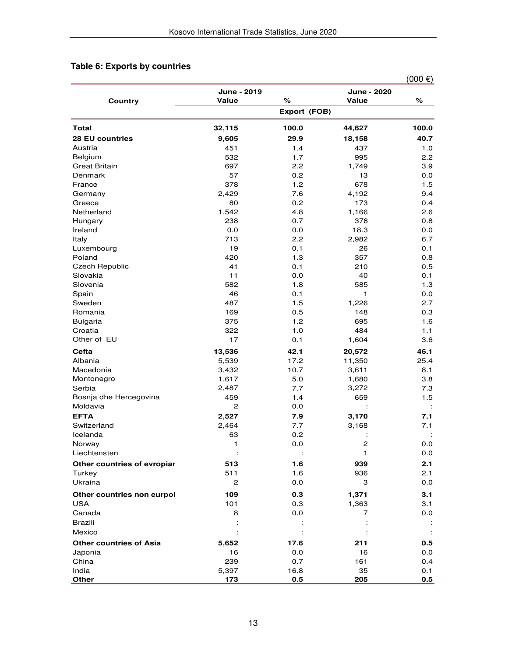# **Table 6: Exports by countries**

|                                    |                      |              |                      | $(000 \infty)$       |
|------------------------------------|----------------------|--------------|----------------------|----------------------|
| Country                            | June - 2019<br>Value | ℅            | June - 2020<br>Value | ℅                    |
|                                    |                      | Export (FOB) |                      |                      |
| Total                              | 32,115               | 100.0        | 44,627               | 100.0                |
| <b>28 EU countries</b>             | 9,605                | 29.9         | 18,158               | 40.7                 |
| Austria                            | 451                  | 1.4          | 437                  | 1.0                  |
| Belgium                            | 532                  | 1.7          | 995                  | 2.2                  |
| <b>Great Britain</b>               | 697                  | 2.2          | 1,749                | 3.9                  |
| Denmark                            | 57                   | 0.2          | 13                   | 0.0                  |
| France                             | 378                  | 1.2          | 678                  | 1.5                  |
| Germany                            | 2,429                | 7.6          | 4,192                | 9.4                  |
| Greece                             | 80                   | 0.2          | 173                  | 0.4                  |
| Netherland                         | 1,542                | 4.8          | 1,166                | 2.6                  |
| Hungary                            | 238                  | 0.7          | 378                  | 0.8                  |
| Ireland                            | 0.0                  | 0.0          | 18.3                 | 0.0                  |
| Italy                              | 713                  | 2.2          | 2,982                | 6.7                  |
| Luxembourg                         | 19                   | 0.1          | 26                   | 0.1                  |
| Poland                             | 420                  | 1.3          | 357                  | 0.8                  |
| <b>Czech Republic</b>              | 41                   | 0.1          | 210                  | 0.5                  |
| Slovakia                           | 11                   | 0.0          | 40                   | 0.1                  |
| Slovenia                           | 582                  | 1.8          | 585                  | 1.3                  |
| Spain                              | 46                   | 0.1          | $\mathbf{1}$         | 0.0                  |
| Sweden                             | 487                  | 1.5          | 1,226                | 2.7                  |
| Romania                            | 169                  | 0.5          | 148                  | 0.3                  |
| <b>Bulgaria</b>                    | 375                  | 1.2          | 695<br>484           | 1.6                  |
| Croatia<br>Other of EU             | 322<br>17            | 1.0<br>0.1   | 1,604                | 1.1<br>3.6           |
|                                    |                      |              |                      |                      |
| Cefta                              | 13,536               | 42.1         | 20,572               | 46.1                 |
| Albania                            | 5,539                | 17.2         | 11,350               | 25.4                 |
| Macedonia                          | 3,432                | 10.7         | 3,611                | 8.1                  |
| Montonegro                         | 1,617                | 5.0          | 1,680                | 3.8                  |
| Serbia                             | 2,487                | 7.7          | 3,272                | 7.3                  |
| Bosnja dhe Hercegovina<br>Moldavia | 459<br>2             | 1.4<br>0.0   | 659                  | 1.5                  |
|                                    |                      |              |                      |                      |
| <b>EFTA</b>                        | 2,527<br>2,464       | 7.9          | 3,170                | 7.1                  |
| Switzerland<br>Icelanda            | 63                   | 7.7<br>0.2   | 3,168                | 7.1                  |
| Norway                             | 1                    | 0.0          | Ĩ.<br>$\overline{c}$ | 0.0                  |
| Liechtensten                       | $\ddot{\phantom{a}}$ | ÷            | $\mathbf{1}$         | 0.0                  |
| Other countries of evropiar        | 513                  | 1.6          | 939                  | 2.1                  |
| Turkey                             | 511                  | 1.6          | 936                  | 2.1                  |
| Ukraina                            | $\mathbf{2}$         | 0.0          | 3                    | 0.0                  |
|                                    |                      |              |                      |                      |
| Other countries non eurpoi         | 109                  | 0.3          | 1,371                | 3.1                  |
| <b>USA</b><br>Canada               | 101<br>8             | 0.3<br>0.0   | 1,363<br>7           | 3.1                  |
| <b>Brazili</b>                     |                      |              |                      | 0.0                  |
|                                    |                      |              |                      |                      |
| Mexico                             |                      |              |                      | $\ddot{\phantom{a}}$ |
| <b>Other countries of Asia</b>     | 5,652                | 17.6         | 211                  | 0.5                  |
| Japonia                            | 16                   | 0.0          | 16                   | 0.0                  |
| China<br>India                     | 239<br>5,397         | 0.7<br>16.8  | 161<br>35            | 0.4<br>0.1           |
| Other                              | 173                  | 0.5          | 205                  | 0.5                  |
|                                    |                      |              |                      |                      |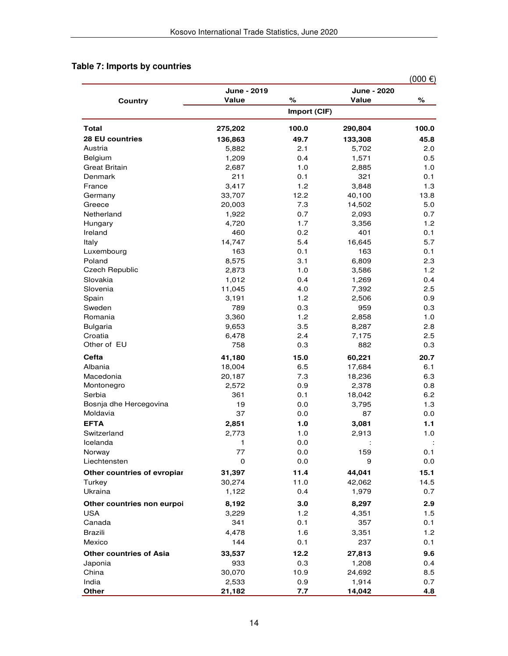# **Table 7: Imports by countries**

|                                |               |              |                 | $(000 \epsilon)$ |
|--------------------------------|---------------|--------------|-----------------|------------------|
|                                | June - 2019   |              | June - 2020     |                  |
| Country                        | Value         | %            | Value           | $\%$             |
|                                |               | Import (CIF) |                 |                  |
| Total                          | 275,202       | 100.0        | 290,804         | 100.0            |
| 28 EU countries                | 136,863       | 49.7         | 133,308         | 45.8             |
| Austria                        | 5,882         | 2.1          | 5,702           | 2.0              |
| Belgium                        | 1,209         | 0.4          | 1,571           | 0.5              |
| <b>Great Britain</b>           | 2,687         | 1.0          | 2,885           | 1.0              |
| Denmark                        | 211           | 0.1          | 321             | 0.1              |
| France                         | 3,417         | 1.2          | 3,848           | 1.3              |
| Germany                        | 33,707        | 12.2         | 40,100          | 13.8             |
| Greece                         | 20,003        | 7.3          | 14,502          | 5.0              |
| Netherland                     | 1,922         | 0.7          | 2,093           | 0.7              |
| Hungary                        | 4,720         | 1.7          | 3,356           | 1.2              |
| Ireland                        | 460           | 0.2          | 401             | 0.1              |
| Italy                          | 14,747        | 5.4          | 16,645          | 5.7              |
| Luxembourg                     | 163           | 0.1          | 163             | 0.1              |
| Poland                         | 8,575         | 3.1          | 6,809           | 2.3              |
| <b>Czech Republic</b>          | 2,873         | 1.0          | 3,586           | 1.2              |
| Slovakia                       | 1,012         | 0.4          | 1,269           | 0.4              |
| Slovenia                       | 11,045        | 4.0          | 7,392           | $2.5\,$          |
| Spain                          | 3,191         | 1.2          | 2,506           | 0.9              |
| Sweden                         | 789           | 0.3          | 959             | 0.3              |
| Romania                        | 3,360         | 1.2          | 2,858           | 1.0              |
| <b>Bulgaria</b>                | 9,653         | 3.5          | 8,287           | 2.8              |
| Croatia                        | 6,478         | 2.4          | 7,175           | $2.5\,$          |
| Other of EU                    | 758           | 0.3          | 882             | 0.3              |
| Cefta                          | 41,180        | 15.0         | 60,221          | 20.7             |
| Albania                        | 18,004        | 6.5          | 17,684          | 6.1              |
| Macedonia                      | 20,187        | 7.3          | 18,236          | 6.3              |
| Montonegro                     | 2,572         | 0.9          | 2,378           | 0.8              |
| Serbia                         | 361           | 0.1          | 18,042          | 6.2              |
| Bosnja dhe Hercegovina         | 19            | 0.0          | 3,795           | 1.3              |
| Moldavia                       | 37            | 0.0          | 87              | 0.0              |
| <b>EFTA</b>                    | 2,851         | 1.0          | 3,081           | 1.1              |
| Switzerland                    | 2,773         | 1.0          | 2,913           | 1.0              |
| Icelanda                       | 1             | 0.0          |                 |                  |
| Norway                         | 77            | 0.0          | 159             | 0.1              |
| Liechtensten                   | 0             | 0.0          | 9               | 0.0              |
| Other countries of evropiar    | 31,397        | 11.4         | 44,041          | 15.1             |
| Turkey                         | 30,274        | 11.0         | 42,062          | 14.5             |
| Ukraina                        | 1,122         | 0.4          | 1,979           | 0.7              |
| Other countries non eurpoi     | 8,192         | 3.0          | 8,297           | 2.9              |
| USA                            | 3,229         | 1.2          | 4,351           | 1.5              |
| Canada                         | 341           | 0.1          | 357             | 0.1              |
| <b>Brazili</b>                 | 4,478         | 1.6          | 3,351           | 1.2              |
| Mexico                         | 144           | 0.1          | 237             | 0.1              |
| <b>Other countries of Asia</b> |               | 12.2         |                 | 9.6              |
|                                | 33,537<br>933 | 0.3          | 27,813          |                  |
| Japonia<br>China               | 30,070        |              | 1,208           | 0.4              |
| India                          | 2,533         | 10.9<br>0.9  | 24,692<br>1,914 | 8.5<br>0.7       |
| Other                          | 21,182        | 7.7          | 14,042          | 4.8              |